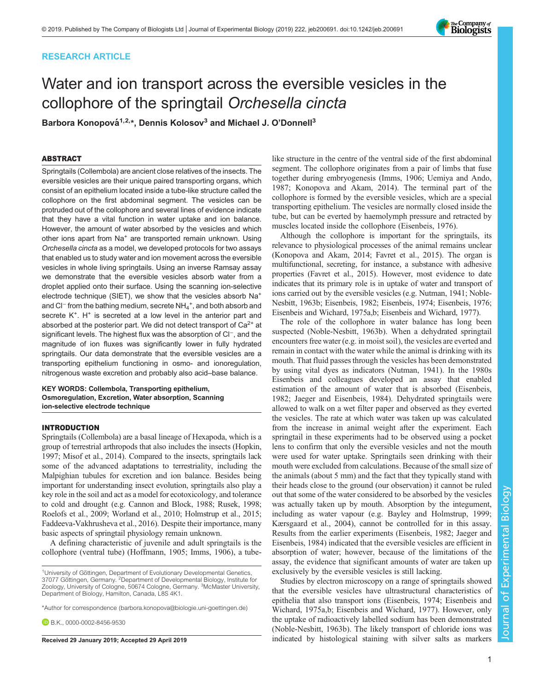# RESEARCH ARTICLE

# Water and ion transport across the eversible vesicles in the collophore of the springtail Orchesella cincta

Barbora Konopová<sup>1,2,</sup>\*, Dennis Kolosov<sup>3</sup> and Michael J. O'Donnell<sup>3</sup>

# ABSTRACT

Springtails (Collembola) are ancient close relatives of the insects. The eversible vesicles are their unique paired transporting organs, which consist of an epithelium located inside a tube-like structure called the collophore on the first abdominal segment. The vesicles can be protruded out of the collophore and several lines of evidence indicate that they have a vital function in water uptake and ion balance. However, the amount of water absorbed by the vesicles and which other ions apart from Na<sup>+</sup> are transported remain unknown. Using Orchesella cincta as a model, we developed protocols for two assays that enabled us to study water and ion movement across the eversible vesicles in whole living springtails. Using an inverse Ramsay assay we demonstrate that the eversible vesicles absorb water from a droplet applied onto their surface. Using the scanning ion-selective electrode technique (SIET), we show that the vesicles absorb Na+ and Cl<sup>−</sup> from the bathing medium, secrete NH<sub>4</sub><sup>+</sup>, and both absorb and secrete K<sup>+</sup>. H<sup>+</sup> is secreted at a low level in the anterior part and absorbed at the posterior part. We did not detect transport of  $Ca<sup>2+</sup>$  at significant levels. The highest flux was the absorption of Cl<sup>−</sup>, and the magnitude of ion fluxes was significantly lower in fully hydrated springtails. Our data demonstrate that the eversible vesicles are a transporting epithelium functioning in osmo- and ionoregulation, nitrogenous waste excretion and probably also acid–base balance.

#### KEY WORDS: Collembola, Transporting epithelium, Osmoregulation, Excretion, Water absorption, Scanning ion-selective electrode technique

#### INTRODUCTION

Springtails (Collembola) are a basal lineage of Hexapoda, which is a group of terrestrial arthropods that also includes the insects ([Hopkin,](#page-7-0) [1997; Misof et al., 2014\)](#page-7-0). Compared to the insects, springtails lack some of the advanced adaptations to terrestriality, including the Malpighian tubules for excretion and ion balance. Besides being important for understanding insect evolution, springtails also play a key role in the soil and act as a model for ecotoxicology, and tolerance to cold and drought (e.g. [Cannon and Block, 1988;](#page-6-0) [Rusek, 1998](#page-8-0); [Roelofs et al., 2009;](#page-7-0) [Worland et al., 2010](#page-8-0); [Holmstrup et al., 2015](#page-7-0); [Faddeeva-Vakhrusheva et al., 2016](#page-7-0)). Despite their importance, many basic aspects of springtail physiology remain unknown.

A defining characteristic of juvenile and adult springtails is the collophore (ventral tube) [\(Hoffmann, 1905; Imms, 1906\)](#page-7-0), a tube-

**B.R.K., [0000-0002-8456-9530](http://orcid.org/0000-0002-8456-9530)** 

like structure in the centre of the ventral side of the first abdominal segment. The collophore originates from a pair of limbs that fuse together during embryogenesis ([Imms, 1906;](#page-7-0) [Uemiya and Ando,](#page-8-0) [1987;](#page-8-0) [Konopova and Akam, 2014](#page-7-0)). The terminal part of the collophore is formed by the eversible vesicles, which are a special transporting epithelium. The vesicles are normally closed inside the tube, but can be everted by haemolymph pressure and retracted by muscles located inside the collophore ([Eisenbeis, 1976\)](#page-7-0).

Although the collophore is important for the springtails, its relevance to physiological processes of the animal remains unclear [\(Konopova and Akam, 2014](#page-7-0); [Favret et al., 2015\)](#page-7-0). The organ is multifunctional, secreting, for instance, a substance with adhesive properties ([Favret et al., 2015](#page-7-0)). However, most evidence to date indicates that its primary role is in uptake of water and transport of ions carried out by the eversible vesicles (e.g. [Nutman, 1941; Noble-](#page-7-0)[Nesbitt, 1963b](#page-7-0); [Eisenbeis, 1982; Eisenbeis, 1974; Eisenbeis, 1976](#page-7-0); [Eisenbeis and Wichard, 1975a,b](#page-7-0); [Eisenbeis and Wichard, 1977](#page-7-0)).

The role of the collophore in water balance has long been suspected ([Noble-Nesbitt, 1963b](#page-7-0)). When a dehydrated springtail encounters free water (e.g. in moist soil), the vesicles are everted and remain in contact with the water while the animal is drinking with its mouth. That fluid passes through the vesicles has been demonstrated by using vital dyes as indicators [\(Nutman, 1941](#page-7-0)). In the 1980s Eisenbeis and colleagues developed an assay that enabled estimation of the amount of water that is absorbed ([Eisenbeis,](#page-7-0) [1982; Jaeger and Eisenbeis, 1984](#page-7-0)). Dehydrated springtails were allowed to walk on a wet filter paper and observed as they everted the vesicles. The rate at which water was taken up was calculated from the increase in animal weight after the experiment. Each springtail in these experiments had to be observed using a pocket lens to confirm that only the eversible vesicles and not the mouth were used for water uptake. Springtails seen drinking with their mouth were excluded from calculations. Because of the small size of the animals (about 5 mm) and the fact that they typically stand with their heads close to the ground (our observation) it cannot be ruled out that some of the water considered to be absorbed by the vesicles was actually taken up by mouth. Absorption by the integument, including as water vapour (e.g. [Bayley and Holmstrup, 1999](#page-6-0); [Kærsgaard et al., 2004\)](#page-7-0), cannot be controlled for in this assay. Results from the earlier experiments [\(Eisenbeis, 1982; Jaeger and](#page-7-0) [Eisenbeis, 1984\)](#page-7-0) indicated that the eversible vesicles are efficient in absorption of water; however, because of the limitations of the assay, the evidence that significant amounts of water are taken up exclusively by the eversible vesicles is still lacking.

Studies by electron microscopy on a range of springtails showed that the eversible vesicles have ultrastructural characteristics of epithelia that also transport ions [\(Eisenbeis, 1974](#page-7-0); [Eisenbeis and](#page-7-0) [Wichard, 1975a,b](#page-7-0); [Eisenbeis and Wichard, 1977\)](#page-7-0). However, only the uptake of radioactively labelled sodium has been demonstrated [\(Noble-Nesbitt, 1963b\)](#page-7-0). The likely transport of chloride ions was Received 29 January 2019; Accepted 29 April 2019 **indicated** by histological staining with silver salts as markers



<sup>&</sup>lt;sup>1</sup>University of Göttingen, Department of Evolutionary Developmental Genetics, 37077 Göttingen, Germany. <sup>2</sup>Department of Developmental Biology, Institute for Zoology, University of Cologne, 50674 Cologne, Germany. <sup>3</sup>McMaster University, Department of Biology, Hamilton, Canada, L8S 4K1.

<sup>\*</sup>Author for correspondence [\(barbora.konopova@biologie.uni-goettingen.de\)](mailto:barbora.konopova@biologie.uni-goettingen.de)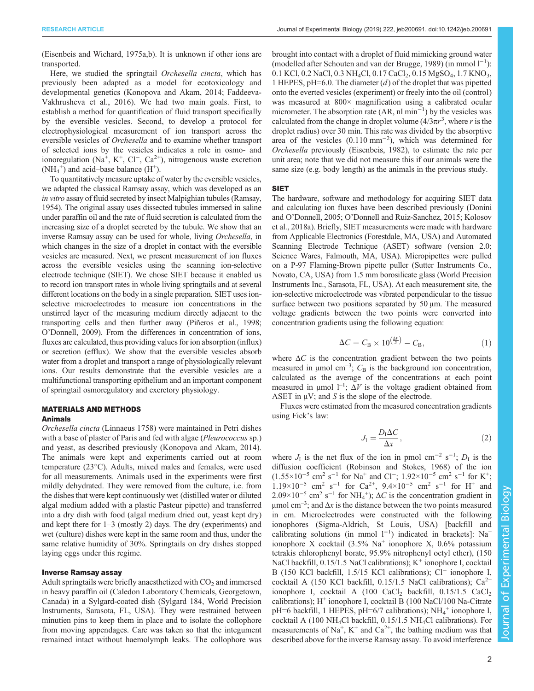[\(Eisenbeis and Wichard, 1975a,b\)](#page-7-0). It is unknown if other ions are transported.

Here, we studied the springtail *Orchesella cincta*, which has previously been adapted as a model for ecotoxicology and developmental genetics [\(Konopova and Akam, 2014](#page-7-0); [Faddeeva-](#page-7-0)[Vakhrusheva et al., 2016](#page-7-0)). We had two main goals. First, to establish a method for quantification of fluid transport specifically by the eversible vesicles. Second, to develop a protocol for electrophysiological measurement of ion transport across the eversible vesicles of Orchesella and to examine whether transport of selected ions by the vesicles indicates a role in osmo- and ionoregulation (Na<sup>+</sup>, K<sup>+</sup>, Cl<sup>−</sup>, Ca<sup>2+</sup>), nitrogenous waste excretion  $(NH_4^+)$  and acid–base balance  $(H^+)$ .

To quantitatively measure uptake of water by the eversible vesicles, we adapted the classical Ramsay assay, which was developed as an in vitro assay of fluid secreted by insect Malpighian tubules [\(Ramsay,](#page-7-0) [1954\)](#page-7-0). The original assay uses dissected tubules immersed in saline under paraffin oil and the rate of fluid secretion is calculated from the increasing size of a droplet secreted by the tubule. We show that an inverse Ramsay assay can be used for whole, living Orchesella, in which changes in the size of a droplet in contact with the eversible vesicles are measured. Next, we present measurement of ion fluxes across the eversible vesicles using the scanning ion-selective electrode technique (SIET). We chose SIET because it enabled us to record ion transport rates in whole living springtails and at several different locations on the body in a single preparation. SIET uses ionselective microelectrodes to measure ion concentrations in the unstirred layer of the measuring medium directly adjacent to the transporting cells and then further away [\(Piñeros et al., 1998](#page-7-0); O'[Donnell, 2009\)](#page-7-0). From the differences in concentration of ions, fluxes are calculated, thus providing values for ion absorption (influx) or secretion (efflux). We show that the eversible vesicles absorb water from a droplet and transport a range of physiologically relevant ions. Our results demonstrate that the eversible vesicles are a multifunctional transporting epithelium and an important component of springtail osmoregulatory and excretory physiology.

# MATERIALS AND METHODS

# Animals

Orchesella cincta (Linnaeus 1758) were maintained in Petri dishes with a base of plaster of Paris and fed with algae (Pleurococcus sp.) and yeast, as described previously ([Konopova and Akam, 2014\)](#page-7-0). The animals were kept and experiments carried out at room temperature (23°C). Adults, mixed males and females, were used for all measurements. Animals used in the experiments were first mildly dehydrated. They were removed from the culture, i.e. from the dishes that were kept continuously wet (distilled water or diluted algal medium added with a plastic Pasteur pipette) and transferred into a dry dish with food (algal medium dried out, yeast kept dry) and kept there for 1–3 (mostly 2) days. The dry (experiments) and wet (culture) dishes were kept in the same room and thus, under the same relative humidity of 30%. Springtails on dry dishes stopped laying eggs under this regime.

#### Inverse Ramsay assay

Adult springtails were briefly anaesthetized with  $CO<sub>2</sub>$  and immersed in heavy paraffin oil (Caledon Laboratory Chemicals, Georgetown, Canada) in a Sylgard-coated dish (Sylgard 184, World Precision Instruments, Sarasota, FL, USA). They were restrained between minutien pins to keep them in place and to isolate the collophore from moving appendages. Care was taken so that the integument remained intact without haemolymph leaks. The collophore was brought into contact with a droplet of fluid mimicking ground water (modelled after [Schouten and van der Brugge, 1989\)](#page-8-0) (in mmol l−<sup>1</sup> ): 0.1 KCl, 0.2 NaCl, 0.3 NH<sub>4</sub>Cl, 0.17 CaCl<sub>2</sub>, 0.15 MgSO<sub>4</sub>, 1.7 KNO<sub>3</sub>, 1 HEPES,  $pH=6.0$ . The diameter (d) of the droplet that was pipetted onto the everted vesicles (experiment) or freely into the oil (control) was measured at 800× magnification using a calibrated ocular micrometer. The absorption rate  $(AR, nl min<sup>-1</sup>)$  by the vesicles was calculated from the change in droplet volume  $(4/3\pi r^3)$ , where r is the droplet radius) over 30 min. This rate was divided by the absorptive area of the vesicles (0.110 mm−<sup>2</sup> ), which was determined for Orchesella previously [\(Eisenbeis, 1982\)](#page-7-0), to estimate the rate per unit area; note that we did not measure this if our animals were the same size (e.g. body length) as the animals in the previous study.

#### SIET

The hardware, software and methodology for acquiring SIET data and calculating ion fluxes have been described previously [\(Donini](#page-7-0) and O'[Donnell, 2005;](#page-7-0) O'[Donnell and Ruiz-Sanchez, 2015; Kolosov](#page-7-0) [et al., 2018a\)](#page-7-0). Briefly, SIET measurements were made with hardware from Applicable Electronics (Forestdale, MA, USA) and Automated Scanning Electrode Technique (ASET) software (version 2.0; Science Wares, Falmouth, MA, USA). Micropipettes were pulled on a P-97 Flaming-Brown pipette puller (Sutter Instruments Co., Novato, CA, USA) from 1.5 mm borosilicate glass (World Precision Instruments Inc., Sarasota, FL, USA). At each measurement site, the ion-selective microelectrode was vibrated perpendicular to the tissue surface between two positions separated by 50 μm. The measured voltage gradients between the two points were converted into concentration gradients using the following equation:

$$
\Delta C = C_{\rm B} \times 10^{\left(\frac{\Delta V}{S}\right)} - C_{\rm B},\tag{1}
$$

where  $\Delta C$  is the concentration gradient between the two points measured in  $\mu$ mol cm<sup>-3</sup>;  $C_B$  is the background ion concentration, calculated as the average of the concentrations at each point measured in  $\mu$ mol  $l^{-1}$ ;  $\Delta V$  is the voltage gradient obtained from ASET in  $\mu$ V; and S is the slope of the electrode.

Fluxes were estimated from the measured concentration gradients using Fick's law:

$$
J_{\rm I} = \frac{D_{\rm I} \Delta C}{\Delta x},\tag{2}
$$

where  $J_I$  is the net flux of the ion in pmol cm<sup>-2</sup> s<sup>-1</sup>;  $D_I$  is the diffusion coefficient ([Robinson and Stokes, 1968](#page-7-0)) of the ion  $(1.55\times10^{-5} \text{ cm}^2 \text{ s}^{-1}$  for Na<sup>+</sup> and Cl<sup>-</sup>;  $1.92\times10^{-5} \text{ cm}^2 \text{ s}^{-1}$  for K<sup>+</sup>;  $1.19\times10^{-5}$  cm<sup>2</sup> s<sup>-1</sup> for Ca<sup>2+</sup>,  $9.4\times10^{-5}$  cm<sup>2</sup> s<sup>-1</sup> for H<sup>+</sup> and  $2.09 \times 10^{-5}$  cm<sup>2</sup> s<sup>-1</sup> for NH<sub>4</sub><sup>+</sup>);  $\Delta C$  is the concentration gradient in μmol cm<sup>-3</sup>; and  $Δx$  is the distance between the two points measured in cm. Microelectrodes were constructed with the following ionophores (Sigma-Aldrich, St Louis, USA) [backfill and calibrating solutions (in mmol  $1^{-1}$ ) indicated in brackets]: Na<sup>+</sup> ionophore X cocktail  $(3.5\% \text{ Na}^+ \text{ionophore X}, 0.6\% \text{ potassium})$ tetrakis chlorophenyl borate, 95.9% nitrophenyl octyl ether), (150 NaCl backfill,  $0.15/1.5$  NaCl calibrations); K<sup>+</sup> ionophore I, cocktail B (150 KCl backfill, 1.5/15 KCl calibrations); Cl<sup>−</sup> ionophore I, cocktail A (150 KCl backfill, 0.15/1.5 NaCl calibrations);  $Ca^{2+}$ ionophore I, cocktail A  $(100 \text{ CaCl}_2 \text{ backfill}, 0.15/1.5 \text{ CaCl}_2)$ calibrations);  $H^+$  ionophore I, cocktail B (100 NaCl/100 Na-Citrate pH=6 backfill, 1 HEPES, pH=6/7 calibrations); NH<sub>4</sub><sup>+</sup> ionophore I, cocktail A (100 NH4Cl backfill, 0.15/1.5 NH4Cl calibrations). For measurements of Na<sup>+</sup>, K<sup>+</sup> and Ca<sup>2+</sup>, the bathing medium was that described above for the inverse Ramsay assay. To avoid interference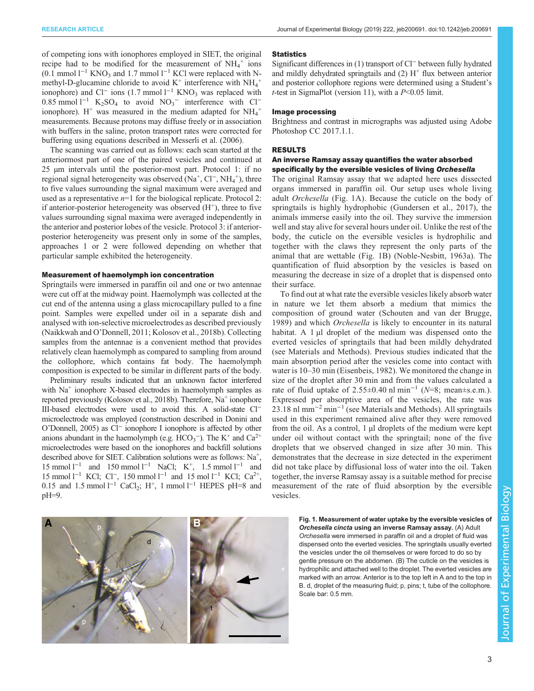of competing ions with ionophores employed in SIET, the original recipe had to be modified for the measurement of  $NH_4^+$  ions  $(0.1 \text{ mmol } 1^{-1} \text{ KNO}_3 \text{ and } 1.7 \text{ mmol } 1^{-1} \text{ KCl}$  were replaced with Nmethyl-D-glucamine chloride to avoid  $K^+$  interference with  $NH_4^+$ ionophore) and Cl<sup>−</sup> ions (1.7 mmol l<sup>−1</sup> KNO<sub>3</sub> was replaced with  $0.85$  mmol l<sup>-1</sup> K<sub>2</sub>SO<sub>4</sub> to avoid NO<sub>3</sub><sup>-</sup> interference with Cl<sup>-1</sup> ionophore). H<sup>+</sup> was measured in the medium adapted for  $NH_4^+$ measurements. Because protons may diffuse freely or in association with buffers in the saline, proton transport rates were corrected for buffering using equations described in [Messerli et al. \(2006\).](#page-7-0)

The scanning was carried out as follows: each scan started at the anteriormost part of one of the paired vesicles and continued at 25 µm intervals until the posterior-most part. Protocol 1: if no regional signal heterogeneity was observed (Na<sup>+</sup>, Cl<sup>−</sup>, NH<sub>4</sub><sup>+</sup>), three to five values surrounding the signal maximum were averaged and used as a representative  $n=1$  for the biological replicate. Protocol 2: if anterior-posterior heterogeneity was observed  $(H<sup>+</sup>)$ , three to five values surrounding signal maxima were averaged independently in the anterior and posterior lobes of the vesicle. Protocol 3: if anteriorposterior heterogeneity was present only in some of the samples, approaches 1 or 2 were followed depending on whether that particular sample exhibited the heterogeneity.

#### Measurement of haemolymph ion concentration

Springtails were immersed in paraffin oil and one or two antennae were cut off at the midway point. Haemolymph was collected at the cut end of the antenna using a glass microcapillary pulled to a fine point. Samples were expelled under oil in a separate dish and analysed with ion-selective microelectrodes as described previously [\(Naikkwah and O](#page-7-0)'Donnell, 2011; [Kolosov et al., 2018b\)](#page-7-0). Collecting samples from the antennae is a convenient method that provides relatively clean haemolymph as compared to sampling from around the collophore, which contains fat body. The haemolymph composition is expected to be similar in different parts of the body.

Preliminary results indicated that an unknown factor interfered with  $Na<sup>+</sup>$  ionophore X-based electrodes in haemolymph samples as reported previously ([Kolosov et al., 2018b\)](#page-7-0). Therefore,  $Na<sup>+</sup>$  ionophore III-based electrodes were used to avoid this. A solid-state Cl<sup>−</sup> microelectrode was employed (construction described in [Donini and](#page-7-0) O'[Donnell, 2005](#page-7-0)) as Cl<sup>−</sup> ionophore I ionophore is affected by other anions abundant in the haemolymph (e.g.  $HCO_3^-$ ). The K<sup>+</sup> and  $Ca^{2+}$ microelectrodes were based on the ionophores and backfill solutions described above for SIET. Calibration solutions were as follows: Na<sup>+</sup>, 15 mmol l<sup>-1</sup> and 150 mmol l<sup>-1</sup> NaCl; K<sup>+</sup>, 1.5 mmol l<sup>-1</sup> and 15 mmol  $l^{-1}$  KCl; Cl<sup>−</sup>, 150 mmol  $l^{-1}$  and 15 mol  $l^{-1}$  KCl; Ca<sup>2+</sup>, 0.15 and 1.5 mmol  $l^{-1}$  CaCl<sub>2</sub>; H<sup>+</sup>, 1 mmol  $l^{-1}$  HEPES pH=8 and pH=9.

# $\mathsf{A}$  **B** p d t

#### **Statistics**

Significant differences in (1) transport of Cl<sup>−</sup> between fully hydrated and mildly dehydrated springtails and  $(2)$  H<sup>+</sup> flux between anterior and posterior collophore regions were determined using a Student's t-test in SigmaPlot (version 11), with a  $P<0.05$  limit.

#### Image processing

Brightness and contrast in micrographs was adjusted using Adobe Photoshop CC 2017.1.1.

# RESULTS

# An inverse Ramsay assay quantifies the water absorbed specifically by the eversible vesicles of living Orchesella

The original Ramsay assay that we adapted here uses dissected organs immersed in paraffin oil. Our setup uses whole living adult Orchesella (Fig. 1A). Because the cuticle on the body of springtails is highly hydrophobic ([Gundersen et al., 2017\)](#page-7-0), the animals immerse easily into the oil. They survive the immersion well and stay alive for several hours under oil. Unlike the rest of the body, the cuticle on the eversible vesicles is hydrophilic and together with the claws they represent the only parts of the animal that are wettable (Fig. 1B) [\(Noble-Nesbitt, 1963a\)](#page-7-0). The quantification of fluid absorption by the vesicles is based on measuring the decrease in size of a droplet that is dispensed onto their surface.

To find out at what rate the eversible vesicles likely absorb water in nature we let them absorb a medium that mimics the composition of ground water ([Schouten and van der Brugge,](#page-8-0) [1989](#page-8-0)) and which Orchesella is likely to encounter in its natural habitat. A 1 µl droplet of the medium was dispensed onto the everted vesicles of springtails that had been mildly dehydrated (see Materials and Methods). Previous studies indicated that the main absorption period after the vesicles come into contact with water is 10–30 min ([Eisenbeis, 1982](#page-7-0)). We monitored the change in size of the droplet after 30 min and from the values calculated a rate of fluid uptake of 2.55±0.40 nl min<sup>-1</sup> ( $N=8$ ; mean±s.e.m.). Expressed per absorptive area of the vesicles, the rate was 23.18 nl mm<sup>-2</sup> min<sup>-1</sup> (see Materials and Methods). All springtails used in this experiment remained alive after they were removed from the oil. As a control, 1 µl droplets of the medium were kept under oil without contact with the springtail; none of the five droplets that we observed changed in size after 30 min. This demonstrates that the decrease in size detected in the experiment did not take place by diffusional loss of water into the oil. Taken together, the inverse Ramsay assay is a suitable method for precise measurement of the rate of fluid absorption by the eversible vesicles.

> Fig. 1. Measurement of water uptake by the eversible vesicles of Orchesella cincta using an inverse Ramsay assay. (A) Adult Orchesella were immersed in paraffin oil and a droplet of fluid was dispensed onto the everted vesicles. The springtails usually everted the vesicles under the oil themselves or were forced to do so by gentle pressure on the abdomen. (B) The cuticle on the vesicles is hydrophilic and attached well to the droplet. The everted vesicles are marked with an arrow. Anterior is to the top left in A and to the top in B. d, droplet of the measuring fluid; p, pins; t, tube of the collophore. Scale bar: 0.5 mm.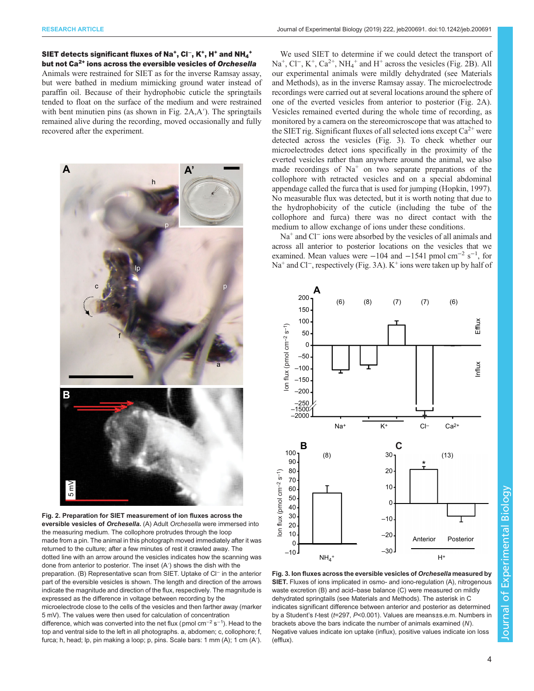<span id="page-3-0"></span>SIET detects significant fluxes of Na<sup>+</sup>, Cl<sup>−</sup>, K<sup>+</sup>, H<sup>+</sup> and NH<sub>4</sub><sup>+</sup> but not Ca2+ ions across the eversible vesicles of Orchesella Animals were restrained for SIET as for the inverse Ramsay assay, but were bathed in medium mimicking ground water instead of paraffin oil. Because of their hydrophobic cuticle the springtails tended to float on the surface of the medium and were restrained with bent minutien pins (as shown in Fig. 2A,A<sup>'</sup>). The springtails remained alive during the recording, moved occasionally and fully recovered after the experiment.



Fig. 2. Preparation for SIET measurement of ion fluxes across the eversible vesicles of Orchesella. (A) Adult Orchesella were immersed into the measuring medium. The collophore protrudes through the loop made from a pin. The animal in this photograph moved immediately after it was returned to the culture; after a few minutes of rest it crawled away. The dotted line with an arrow around the vesicles indicates how the scanning was done from anterior to posterior. The inset (A′) shows the dish with the preparation. (B) Representative scan from SIET. Uptake of Cl<sup>−</sup> in the anterior part of the eversible vesicles is shown. The length and direction of the arrows indicate the magnitude and direction of the flux, respectively. The magnitude is expressed as the difference in voltage between recording by the microelectrode close to the cells of the vesicles and then farther away (marker

5 mV). The values were then used for calculation of concentration

difference, which was converted into the net flux (pmol cm<sup>−2</sup> s<sup>−1</sup>). Head to the top and ventral side to the left in all photographs. a, abdomen; c, collophore; f, furca; h, head; lp, pin making a loop; p, pins. Scale bars: 1 mm (A); 1 cm (A′).

We used SIET to determine if we could detect the transport of Na<sup>+</sup>, Cl<sup>−</sup>, K<sup>+</sup>, Ca<sup>2+</sup>, NH<sub>4</sub><sup>+</sup> and H<sup>+</sup> across the vesicles (Fig. 2B). All our experimental animals were mildly dehydrated (see Materials and Methods), as in the inverse Ramsay assay. The microelectrode recordings were carried out at several locations around the sphere of one of the everted vesicles from anterior to posterior (Fig. 2A). Vesicles remained everted during the whole time of recording, as monitored by a camera on the stereomicroscope that was attached to the SIET rig. Significant fluxes of all selected ions except  $Ca^{2+}$  were detected across the vesicles (Fig. 3). To check whether our microelectrodes detect ions specifically in the proximity of the everted vesicles rather than anywhere around the animal, we also made recordings of  $Na<sup>+</sup>$  on two separate preparations of the collophore with retracted vesicles and on a special abdominal appendage called the furca that is used for jumping ([Hopkin, 1997\)](#page-7-0). No measurable flux was detected, but it is worth noting that due to the hydrophobicity of the cuticle (including the tube of the collophore and furca) there was no direct contact with the medium to allow exchange of ions under these conditions.

Na<sup>+</sup> and Cl<sup>−</sup> ions were absorbed by the vesicles of all animals and across all anterior to posterior locations on the vesicles that we examined. Mean values were  $-104$  and  $-1541$  pmol cm<sup>-2</sup> s<sup>-1</sup>, for Na<sup>+</sup> and Cl<sup>−</sup>, respectively (Fig. 3A). K<sup>+</sup> ions were taken up by half of



Fig. 3. Ion fluxes across the eversible vesicles of Orchesella measured by SIET. Fluxes of ions implicated in osmo- and iono-regulation (A), nitrogenous waste excretion (B) and acid–base balance (C) were measured on mildly dehydrated springtails (see Materials and Methods). The asterisk in C indicates significant difference between anterior and posterior as determined by a Student's t-test (t=297, P<0.001). Values are means±s.e.m. Numbers in brackets above the bars indicate the number of animals examined (N). Negative values indicate ion uptake (influx), positive values indicate ion loss (efflux).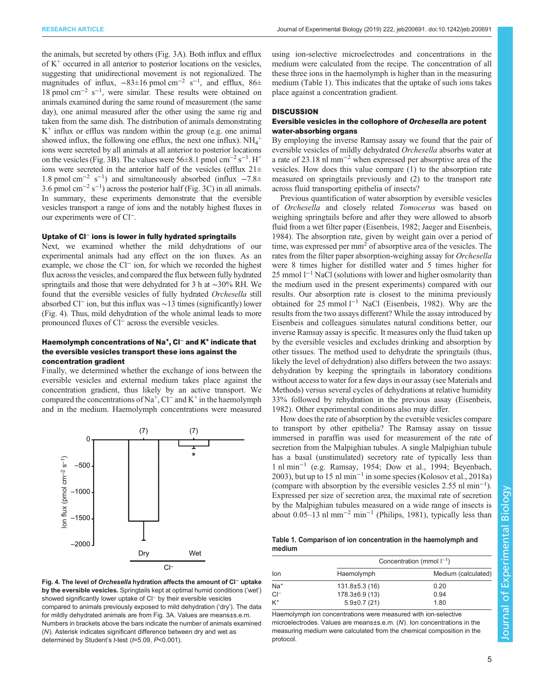<span id="page-4-0"></span>the animals, but secreted by others [\(Fig. 3A](#page-3-0)). Both influx and efflux of  $K^+$  occurred in all anterior to posterior locations on the vesicles, suggesting that unidirectional movement is not regionalized. The magnitudes of influx,  $-83\pm16$  pmol cm<sup>-2</sup> s<sup>-1</sup>, and efflux, 86 $\pm$ 18 pmol cm−<sup>2</sup> s−<sup>1</sup> , were similar. These results were obtained on animals examined during the same round of measurement (the same day), one animal measured after the other using the same rig and taken from the same dish. The distribution of animals demonstrating  $K^+$  influx or efflux was random within the group (e.g. one animal showed influx, the following one efflux, the next one influx).  $NH_4^+$ ions were secreted by all animals at all anterior to posterior locations on the vesicles [\(Fig. 3](#page-3-0)B). The values were  $56\pm8.1$  pmol cm<sup>-2</sup> s<sup>-1</sup>. H<sup>+</sup> ions were secreted in the anterior half of the vesicles (efflux  $21 \pm$ 1.8 pmol cm−<sup>2</sup> s−<sup>1</sup> ) and simultaneously absorbed (influx −7.8± 3.6 pmol cm−<sup>2</sup> s−<sup>1</sup> ) across the posterior half ([Fig. 3C](#page-3-0)) in all animals. In summary, these experiments demonstrate that the eversible vesicles transport a range of ions and the notably highest fluxes in our experiments were of Cl−.

#### Uptake of Cl<sup>−</sup> ions is lower in fully hydrated springtails

Next, we examined whether the mild dehydrations of our experimental animals had any effect on the ion fluxes. As an example, we chose the Cl<sup>−</sup> ion, for which we recorded the highest flux across the vesicles, and compared the flux between fully hydrated springtails and those that were dehydrated for 3 h at ∼30% RH. We found that the eversible vesicles of fully hydrated Orchesella still absorbed Cl<sup>−</sup> ion, but this influx was ∼13 times (significantly) lower (Fig. 4). Thus, mild dehydration of the whole animal leads to more pronounced fluxes of Cl<sup>−</sup> across the eversible vesicles.

#### Haemolymph concentrations of Na<sup>+</sup>, Cl<sup>−</sup> and K<sup>+</sup> indicate that the eversible vesicles transport these ions against the concentration gradient

Finally, we determined whether the exchange of ions between the eversible vesicles and external medium takes place against the concentration gradient, thus likely by an active transport. We compared the concentrations of Na<sup>+</sup>, Cl<sup>−</sup> and K<sup>+</sup> in the haemolymph and in the medium. Haemolymph concentrations were measured



Fig. 4. The level of Orchesella hydration affects the amount of Cl<sup>−</sup> uptake by the eversible vesicles. Springtails kept at optimal humid conditions ('wet') showed significantly lower uptake of Cl<sup>−</sup> by their eversible vesicles compared to animals previously exposed to mild dehydration ('dry'). The data for mildly dehydrated animals are from [Fig. 3A](#page-3-0). Values are means±s.e.m. Numbers in brackets above the bars indicate the number of animals examined (N). Asterisk indicates significant difference between dry and wet as determined by Student's t-test (t=5.09, P<0.001).

using ion-selective microelectrodes and concentrations in the medium were calculated from the recipe. The concentration of all these three ions in the haemolymph is higher than in the measuring medium (Table 1). This indicates that the uptake of such ions takes place against a concentration gradient.

#### **DISCUSSION**

#### Eversible vesicles in the collophore of Orchesella are potent water-absorbing organs

By employing the inverse Ramsay assay we found that the pair of eversible vesicles of mildly dehydrated Orchesella absorbs water at a rate of 23.18 nl mm−<sup>2</sup> when expressed per absorptive area of the vesicles. How does this value compare (1) to the absorption rate measured on springtails previously and (2) to the transport rate across fluid transporting epithelia of insects?

Previous quantification of water absorption by eversible vesicles of Orchesella and closely related Tomocerus was based on weighing springtails before and after they were allowed to absorb fluid from a wet filter paper ([Eisenbeis, 1982](#page-7-0); [Jaeger and Eisenbeis,](#page-7-0) [1984\)](#page-7-0). The absorption rate, given by weight gain over a period of time, was expressed per  $mm<sup>2</sup>$  of absorptive area of the vesicles. The rates from the filter paper absorption-weighing assay for Orchesella were 8 times higher for distilled water and 5 times higher for 25 mmol l<sup>−1</sup> NaCl (solutions with lower and higher osmolarity than the medium used in the present experiments) compared with our results. Our absorption rate is closest to the minima previously obtained for 25 mmol l−<sup>1</sup> NaCl ([Eisenbeis, 1982\)](#page-7-0). Why are the results from the two assays different? While the assay introduced by Eisenbeis and colleagues simulates natural conditions better, our inverse Ramsay assay is specific. It measures only the fluid taken up by the eversible vesicles and excludes drinking and absorption by other tissues. The method used to dehydrate the springtails (thus, likely the level of dehydration) also differs between the two assays: dehydration by keeping the springtails in laboratory conditions without access to water for a few days in our assay (see Materials and Methods) versus several cycles of dehydrations at relative humidity 33% followed by rehydration in the previous assay ([Eisenbeis,](#page-7-0) [1982\)](#page-7-0). Other experimental conditions also may differ.

How does the rate of absorption by the eversible vesicles compare to transport by other epithelia? The Ramsay assay on tissue immersed in paraffin was used for measurement of the rate of secretion from the Malpighian tubules. A single Malpighian tubule has a basal (unstimulated) secretory rate of typically less than 1 nl min−<sup>1</sup> (e.g. [Ramsay, 1954; Dow et al., 1994;](#page-7-0) [Beyenbach,](#page-6-0) [2003\)](#page-6-0), but up to 15 nl min<sup>-1</sup> in some species [\(Kolosov et al., 2018a\)](#page-7-0) (compare with absorption by the eversible vesicles 2.55 nl min−<sup>1</sup> ). Expressed per size of secretion area, the maximal rate of secretion by the Malpighian tubules measured on a wide range of insects is about  $0.05-13$  nl mm<sup>-2</sup> min<sup>-1</sup> ([Philips, 1981\)](#page-7-0), typically less than

|        | Table 1. Comparison of ion concentration in the haemolymph and |  |  |  |  |
|--------|----------------------------------------------------------------|--|--|--|--|
| medium |                                                                |  |  |  |  |

|        |                      | Concentration (mmol $I^{-1}$ ) |  |  |
|--------|----------------------|--------------------------------|--|--|
| lon    | Haemolymph           | Medium (calculated)            |  |  |
| $Na+$  | $131.8 \pm 5.3(16)$  | 0.20                           |  |  |
| $Cl^-$ | $178.3 \pm 6.9$ (13) | 0.94                           |  |  |
| $K^+$  | $5.9\pm0.7(21)$      | 1.80                           |  |  |

Haemolymph ion concentrations were measured with ion-selective microelectrodes. Values are means±s.e.m. (N). Ion concentrations in the measuring medium were calculated from the chemical composition in the protocol.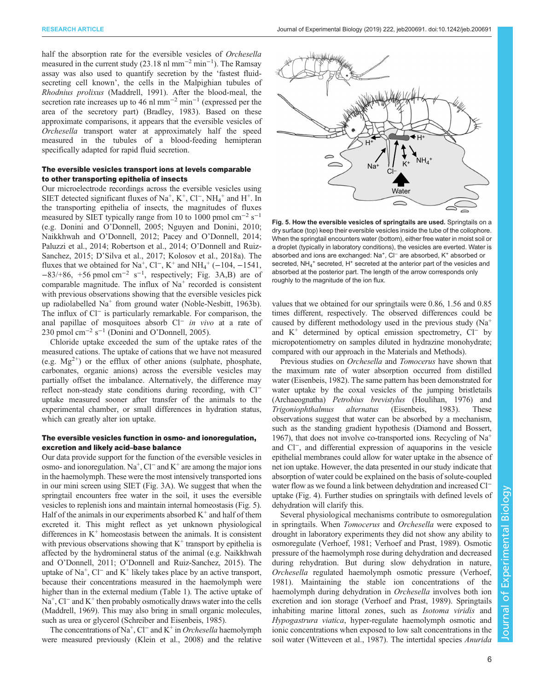<span id="page-5-0"></span>half the absorption rate for the eversible vesicles of Orchesella measured in the current study (23.18 nl mm<sup>-2</sup> min<sup>-1</sup>). The Ramsay assay was also used to quantify secretion by the 'fastest fluidsecreting cell known', the cells in the Malpighian tubules of Rhodnius prolixus [\(Maddrell, 1991\)](#page-7-0). After the blood-meal, the secretion rate increases up to 46 nl mm<sup> $-2$ </sup> min<sup> $-1$ </sup> (expressed per the area of the secretory part) ([Bradley, 1983\)](#page-6-0). Based on these approximate comparisons, it appears that the eversible vesicles of Orchesella transport water at approximately half the speed measured in the tubules of a blood-feeding hemipteran specifically adapted for rapid fluid secretion.

# The eversible vesicles transport ions at levels comparable to other transporting epithelia of insects

Our microelectrode recordings across the eversible vesicles using SIET detected significant fluxes of Na<sup>+</sup>, K<sup>+</sup>, Cl<sup>−</sup>, NH<sub>4</sub><sup>+</sup> and H<sup>+</sup>. In the transporting epithelia of insects, the magnitudes of fluxes measured by SIET typically range from 10 to 1000 pmol cm<sup>-2</sup> s<sup>-1</sup> (e.g. [Donini and O](#page-7-0)'Donnell, 2005; [Nguyen and Donini, 2010](#page-7-0); [Naikkhwah and O](#page-7-0)'Donnell, 2012; Pacey and O'[Donnell, 2014](#page-7-0); [Paluzzi et al., 2014](#page-7-0); [Robertson et al., 2014](#page-7-0); O'[Donnell and Ruiz-](#page-7-0)[Sanchez, 2015](#page-7-0); D'[Silva et al., 2017; Kolosov et al., 2018a](#page-7-0)). The fluxes that we obtained for Na<sup>+</sup>, Cl<sup>−</sup>, K<sup>+</sup> and NH<sub>4</sub><sup>+</sup> (−104, −1541,  $-83/+86$ ,  $+56$  pmol cm<sup>-2</sup> s<sup>-1</sup>, respectively; [Fig. 3](#page-3-0)A,B) are of comparable magnitude. The influx of  $Na<sup>+</sup>$  recorded is consistent with previous observations showing that the eversible vesicles pick up radiolabelled  $Na<sup>+</sup>$  from ground water [\(Noble-Nesbitt, 1963b\)](#page-7-0). The influx of Cl<sup>−</sup> is particularly remarkable. For comparison, the anal papillae of mosquitoes absorb Cl<sup>−</sup> in vivo at a rate of 230 pmol cm<sup>-2</sup> s<sup>-1</sup> (Donini and O'[Donnell, 2005](#page-7-0)).

Chloride uptake exceeded the sum of the uptake rates of the measured cations. The uptake of cations that we have not measured (e.g.  $Mg^{2+}$ ) or the efflux of other anions (sulphate, phosphate, carbonates, organic anions) across the eversible vesicles may partially offset the imbalance. Alternatively, the difference may reflect non-steady state conditions during recording, with Cl<sup>−</sup> uptake measured sooner after transfer of the animals to the experimental chamber, or small differences in hydration status, which can greatly alter ion uptake.

#### The eversible vesicles function in osmo- and ionoregulation, excretion and likely acid–base balance

Our data provide support for the function of the eversible vesicles in osmo- and ionoregulation. Na+ , Cl<sup>−</sup> and K+ are among the major ions in the haemolymph. These were the most intensively transported ions in our mini screen using SIET ([Fig. 3](#page-3-0)A). We suggest that when the springtail encounters free water in the soil, it uses the eversible vesicles to replenish ions and maintain internal homeostasis (Fig. 5). Half of the animals in our experiments absorbed  $K^+$  and half of them excreted it. This might reflect as yet unknown physiological differences in  $K^+$  homeostasis between the animals. It is consistent with previous observations showing that  $K^+$  transport by epithelia is affected by the hydromineral status of the animal (e.g. [Naikkhwah](#page-7-0) and O'[Donnell, 2011;](#page-7-0) O'[Donnell and Ruiz-Sanchez, 2015\)](#page-7-0). The uptake of  $Na^+$ , Cl<sup>−</sup> and K<sup>+</sup> likely takes place by an active transport, because their concentrations measured in the haemolymph were higher than in the external medium [\(Table 1\)](#page-4-0). The active uptake of Na<sup>+</sup>, Cl<sup>−</sup> and K<sup>+</sup> then probably osmotically draws water into the cells [\(Maddrell, 1969\)](#page-7-0). This may also bring in small organic molecules, such as urea or glycerol [\(Schreiber and Eisenbeis, 1985\)](#page-8-0).

The concentrations of Na<sup>+</sup>, Cl<sup>−</sup> and K<sup>+</sup> in Orchesella haemolymph were measured previously ([Klein et al., 2008](#page-7-0)) and the relative



Fig. 5. How the eversible vesicles of springtails are used. Springtails on a dry surface (top) keep their eversible vesicles inside the tube of the collophore. When the springtail encounters water (bottom), either free water in moist soil or a droplet (typically in laboratory conditions), the vesicles are everted. Water is absorbed and ions are exchanged: Na<sup>+</sup>, Cl<sup>−</sup> are absorbed, K<sup>+</sup> absorbed or secreted, NH<sub>4</sub><sup>+</sup> secreted, H<sup>+</sup> secreted at the anterior part of the vesicles and absorbed at the posterior part. The length of the arrow corresponds only roughly to the magnitude of the ion flux.

values that we obtained for our springtails were 0.86, 1.56 and 0.85 times different, respectively. The observed differences could be caused by different methodology used in the previous study  $(Na^+$ and K+ determined by optical emission spectrometry, Cl<sup>−</sup> by micropotentiometry on samples diluted in hydrazine monohydrate; compared with our approach in the Materials and Methods).

Previous studies on Orchesella and Tomocerus have shown that the maximum rate of water absorption occurred from distilled water [\(Eisenbeis, 1982](#page-7-0)). The same pattern has been demonstrated for water uptake by the coxal vesicles of the jumping bristletails (Archaeognatha) Petrobius brevistylus ([Houlihan, 1976](#page-7-0)) and Trigoniophthalmus alternatus ([Eisenbeis, 1983](#page-7-0)). These observations suggest that water can be absorbed by a mechanism, such as the standing gradient hypothesis [\(Diamond and Bossert,](#page-7-0) [1967\)](#page-7-0), that does not involve co-transported ions. Recycling of  $Na<sup>+</sup>$ and Cl−, and differential expression of aquaporins in the vesicle epithelial membranes could allow for water uptake in the absence of net ion uptake. However, the data presented in our study indicate that absorption of water could be explained on the basis of solute-coupled water flow as we found a link between dehydration and increased Cl<sup>−</sup> uptake [\(Fig. 4](#page-4-0)). Further studies on springtails with defined levels of dehydration will clarify this.

Several physiological mechanisms contribute to osmoregulation in springtails. When Tomocerus and Orchesella were exposed to drought in laboratory experiments they did not show any ability to osmoregulate ([Verhoef, 1981; Verhoef and Prast, 1989](#page-8-0)). Osmotic pressure of the haemolymph rose during dehydration and decreased during rehydration. But during slow dehydration in nature, Orchesella regulated haemolymph osmotic pressure ([Verhoef,](#page-8-0) [1981\)](#page-8-0). Maintaining the stable ion concentrations of the haemolymph during dehydration in Orchesella involves both ion excretion and ion storage ([Verhoef and Prast, 1989\)](#page-8-0). Springtails inhabiting marine littoral zones, such as Isotoma viridis and Hypogastrura viatica, hyper-regulate haemolymph osmotic and ionic concentrations when exposed to low salt concentrations in the soil water [\(Witteveen et al., 1987\)](#page-8-0). The intertidal species *Anurida*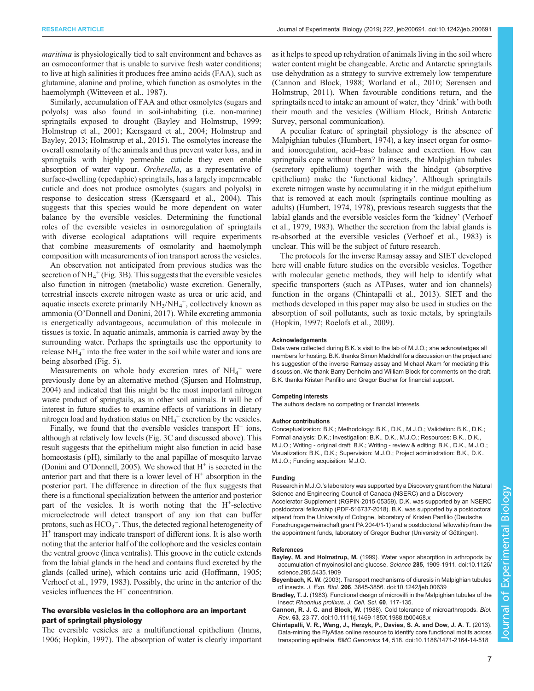<span id="page-6-0"></span>maritima is physiologically tied to salt environment and behaves as an osmoconformer that is unable to survive fresh water conditions; to live at high salinities it produces free amino acids (FAA), such as glutamine, alanine and proline, which function as osmolytes in the haemolymph [\(Witteveen et al., 1987\)](#page-8-0).

Similarly, accumulation of FAA and other osmolytes (sugars and polyols) was also found in soil-inhabiting (i.e. non-marine) springtails exposed to drought (Bayley and Holmstrup, 1999; [Holmstrup et al., 2001; Kærsgaard et al., 2004](#page-7-0); [Holmstrup and](#page-7-0) [Bayley, 2013](#page-7-0); [Holmstrup et al., 2015\)](#page-7-0). The osmolytes increase the overall osmolarity of the animals and thus prevent water loss, and in springtails with highly permeable cuticle they even enable absorption of water vapour. Orchesella, as a representative of surface-dwelling (epedaphic) springtails, has a largely impermeable cuticle and does not produce osmolytes (sugars and polyols) in response to desiccation stress ([Kærsgaard et al., 2004](#page-7-0)). This suggests that this species would be more dependent on water balance by the eversible vesicles. Determining the functional roles of the eversible vesicles in osmoregulation of springtails with diverse ecological adaptations will require experiments that combine measurements of osmolarity and haemolymph composition with measurements of ion transport across the vesicles.

An observation not anticipated from previous studies was the secretion of  $NH_4^+$  [\(Fig. 3B](#page-3-0)). This suggests that the eversible vesicles also function in nitrogen (metabolic) waste excretion. Generally, terrestrial insects excrete nitrogen waste as urea or uric acid, and aquatic insects excrete primarily  $NH<sub>3</sub>/NH<sub>4</sub><sup>+</sup>$ , collectively known as ammonia (O'[Donnell and Donini, 2017\)](#page-7-0). While excreting ammonia is energetically advantageous, accumulation of this molecule in tissues is toxic. In aquatic animals, ammonia is carried away by the surrounding water. Perhaps the springtails use the opportunity to release NH<sub>4</sub><sup>+</sup> into the free water in the soil while water and ions are being absorbed ([Fig. 5\)](#page-5-0).

Measurements on whole body excretion rates of  $NH<sub>4</sub><sup>+</sup>$  were previously done by an alternative method ([Sjursen and Holmstrup,](#page-8-0) [2004\)](#page-8-0) and indicated that this might be the most important nitrogen waste product of springtails, as in other soil animals. It will be of interest in future studies to examine effects of variations in dietary nitrogen load and hydration status on  $NH_4^+$  excretion by the vesicles.

Finally, we found that the eversible vesicles transport  $H^+$  ions, although at relatively low levels [\(Fig. 3](#page-3-0)C and discussed above). This result suggests that the epithelium might also function in acid–base homeostasis (pH), similarly to the anal papillae of mosquito larvae (Donini and O'[Donnell, 2005](#page-7-0)). We showed that  $H^+$  is secreted in the anterior part and that there is a lower level of  $H^+$  absorption in the posterior part. The difference in direction of the flux suggests that there is a functional specialization between the anterior and posterior part of the vesicles. It is worth noting that the H<sup>+</sup>-selective microelectrode will detect transport of any ion that can buffer protons, such as  $HCO_3^-$ . Thus, the detected regional heterogeneity of  $H<sup>+</sup>$  transport may indicate transport of different ions. It is also worth noting that the anterior half of the collophore and the vesicles contain the ventral groove (linea ventralis). This groove in the cuticle extends from the labial glands in the head and contains fluid excreted by the glands (called urine), which contains uric acid [\(Hoffmann, 1905](#page-7-0); [Verhoef et al., 1979](#page-8-0), [1983](#page-8-0)). Possibly, the urine in the anterior of the vesicles influences the  $H<sup>+</sup>$  concentration.

#### The eversible vesicles in the collophore are an important part of springtail physiology

The eversible vesicles are a multifunctional epithelium [\(Imms,](#page-7-0) [1906](#page-7-0); [Hopkin, 1997\)](#page-7-0). The absorption of water is clearly important as it helps to speed up rehydration of animals living in the soil where water content might be changeable. Arctic and Antarctic springtails use dehydration as a strategy to survive extremely low temperature (Cannon and Block, 1988; [Worland et al., 2010; Sørensen and](#page-8-0) [Holmstrup, 2011](#page-8-0)). When favourable conditions return, and the springtails need to intake an amount of water, they 'drink' with both their mouth and the vesicles (William Block, British Antarctic Survey, personal communication).

A peculiar feature of springtail physiology is the absence of Malpighian tubules ([Humbert, 1974](#page-7-0)), a key insect organ for osmoand ionoregulation, acid–base balance and excretion. How can springtails cope without them? In insects, the Malpighian tubules (secretory epithelium) together with the hindgut (absorptive epithelium) make the 'functional kidney'. Although springtails excrete nitrogen waste by accumulating it in the midgut epithelium that is removed at each moult (springtails continue moulting as adults) [\(Humbert, 1974, 1978\)](#page-7-0), previous research suggests that the labial glands and the eversible vesicles form the 'kidney' [\(Verhoef](#page-8-0) [et al., 1979, 1983\)](#page-8-0). Whether the secretion from the labial glands is re-absorbed at the eversible vesicles [\(Verhoef et al., 1983\)](#page-8-0) is unclear. This will be the subject of future research.

The protocols for the inverse Ramsay assay and SIET developed here will enable future studies on the eversible vesicles. Together with molecular genetic methods, they will help to identify what specific transporters (such as ATPases, water and ion channels) function in the organs (Chintapalli et al., 2013). SIET and the methods developed in this paper may also be used in studies on the absorption of soil pollutants, such as toxic metals, by springtails [\(Hopkin, 1997; Roelofs et al., 2009](#page-7-0)).

#### Acknowledgements

Data were collected during B.K.'s visit to the lab of M.J.O.; she acknowledges all members for hosting. B.K. thanks Simon Maddrell for a discussion on the project and his suggestion of the inverse Ramsay assay and Michael Akam for mediating this discussion. We thank Barry Denholm and William Block for comments on the draft. B.K. thanks Kristen Panfilio and Gregor Bucher for financial support.

#### Competing interests

The authors declare no competing or financial interests.

#### Author contributions

Conceptualization: B.K.; Methodology: B.K., D.K., M.J.O.; Validation: B.K., D.K.; Formal analysis: D.K.; Investigation: B.K., D.K., M.J.O.; Resources: B.K., D.K., M.J.O.; Writing - original draft: B.K.; Writing - review & editing: B.K., D.K., M.J.O.; Visualization: B.K., D.K.; Supervision: M.J.O.; Project administration: B.K., D.K., M.J.O.; Funding acquisition: M.J.O.

#### Funding

Research in M.J.O.'s laboratory was supported by a Discovery grant from the Natural Science and Engineering Council of Canada (NSERC) and a Discovery Accelerator Supplement (RGPIN-2015-05359). D.K. was supported by an NSERC postdoctoral fellowship (PDF-516737-2018). B.K. was supported by a postdoctoral stipend from the University of Cologne, laboratory of Kristen Panfilio (Deutsche Forschungsgemeinschaft grant PA 2044/1-1) and a postdoctoral fellowship from the the appointment funds, laboratory of Gregor Bucher (University of Göttingen).

#### References

- Bayley, M. and Holmstrup, M. [\(1999\). Water vapor absorption in arthropods by](https://doi.org/10.1126/science.285.5435.1909) [accumulation of myoinositol and glucose.](https://doi.org/10.1126/science.285.5435.1909) Science 285, 1909-1911. doi:10.1126/ [science.285.5435.1909](https://doi.org/10.1126/science.285.5435.1909)
- Beyenbach, K. W. [\(2003\). Transport mechanisms of diuresis in Malpighian tubules](https://doi.org/10.1242/jeb.00639) of insects. J. Exp. Biol. 206[, 3845-3856. doi:10.1242/jeb.00639](https://doi.org/10.1242/jeb.00639)
- Bradley, T. J. (1983). Functional design of microvilli in the Malpighian tubules of the insect Rhodnius prolixus. J. Cell. Sci. 60, 117-135.
- Cannon, R. J. C. and Block, W. [\(1988\). Cold tolerance of microarthropods.](https://doi.org/10.1111/j.1469-185X.1988.tb00468.x) Biol. Rev. 63[, 23-77. doi:10.1111/j.1469-185X.1988.tb00468.x](https://doi.org/10.1111/j.1469-185X.1988.tb00468.x)
- [Chintapalli, V. R., Wang, J., Herzyk, P., Davies, S. A. and Dow, J. A. T.](https://doi.org/10.1186/1471-2164-14-518) (2013). [Data-mining the FlyAtlas online resource to identify core functional motifs across](https://doi.org/10.1186/1471-2164-14-518) transporting epithelia. BMC Genomics 14[, 518. doi:10.1186/1471-2164-14-518](https://doi.org/10.1186/1471-2164-14-518)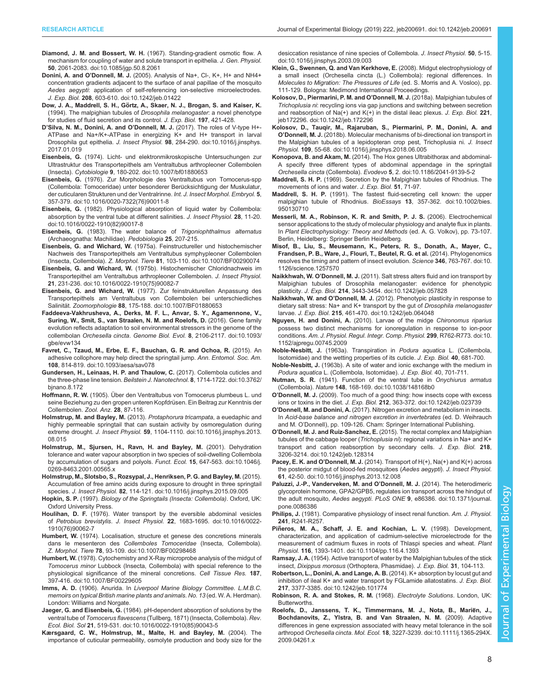- <span id="page-7-0"></span>Diamond, J. M. and Bossert, W. H. [\(1967\). Standing-gradient osmotic flow. A](https://doi.org/10.1085/jgp.50.8.2061) [mechanism for coupling of water and solute transport in epithelia.](https://doi.org/10.1085/jgp.50.8.2061) J. Gen. Physiol. 50[, 2061-2083. doi:10.1085/jgp.50.8.2061](https://doi.org/10.1085/jgp.50.8.2061)
- Donini, A. and O'Donnell, M. J. [\(2005\). Analysis of Na+, Cl-, K+, H+ and NH4+](https://doi.org/10.1242/jeb.01422) [concentration gradients adjacent to the surface of anal papillae of the mosquito](https://doi.org/10.1242/jeb.01422) Aedes aegypti[: application of self-referencing ion-selective microelectrodes.](https://doi.org/10.1242/jeb.01422) J. Exp. Biol. 208[, 603-610. doi:10.1242/jeb.01422](https://doi.org/10.1242/jeb.01422)
- Dow, J. A., Maddrell, S. H., Görtz, A., Skaer, N. J., Brogan, S. and Kaiser, K. (1994). The malpighian tubules of Drosophila melanogaster: a novel phenotype for studies of fluid secretion and its control. J. Exp. Biol. 197, 421-428.
- D'Silva, N. M., Donini, A. and O'Donnell, M. J. [\(2017\). The roles of V-type H+-](https://doi.org/10.1016/j.jinsphys.2017.01.019) [ATPase and Na+/K+-ATPase in energizing K+ and H+ transport in larval](https://doi.org/10.1016/j.jinsphys.2017.01.019) Drosophila gut epithelia. J. Insect Physiol. 98[, 284-290. doi:10.1016/j.jinsphys.](https://doi.org/10.1016/j.jinsphys.2017.01.019) [2017.01.019](https://doi.org/10.1016/j.jinsphys.2017.01.019)
- Eisenbeis, G. [\(1974\). Licht- und elektronmikroskopische Untersuchungen zur](https://doi.org/10.1007/bf01880653) [Ultrastruktur des Transportepithels am Ventraltubus arthropleoner Collembolen](https://doi.org/10.1007/bf01880653) (Insecta). Cytobiologie 9[, 180-202. doi:10.1007/bf01880653](https://doi.org/10.1007/bf01880653)
- Eisenbeis, G. [\(1976\). Zur Morphologie des Ventraltubus von Tomocerus-spp](https://doi.org/10.1016/0020-7322(76)90011-8) [\(Collembola: Tomoceridae\) unter besonderer Beru](https://doi.org/10.1016/0020-7322(76)90011-8)̈cksichtigung der Muskulatur, [der cuticularen Strukturen und der Ventralrinne.](https://doi.org/10.1016/0020-7322(76)90011-8) Int. J. Insect Morphol. Embryol. 5, [357-379. doi:10.1016/0020-7322\(76\)90011-8](https://doi.org/10.1016/0020-7322(76)90011-8)
- Eisenbeis, G. [\(1982\). Physiological absorption of liquid water by Collembola:](https://doi.org/10.1016/0022-1910(82)90017-8) [absorption by the ventral tube at different salinities.](https://doi.org/10.1016/0022-1910(82)90017-8) J. Insect Physiol. 28, 11-20. [doi:10.1016/0022-1910\(82\)90017-8](https://doi.org/10.1016/0022-1910(82)90017-8)
- Eisenbeis, G. (1983). The water balance of Trigoniophthalmus alternatus (Archaeognatha: Machilidae). Pedobiologia 25, 207-215.
- Eisenbeis, G. and Wichard, W. [\(1975a\). Feinstructureller und histochemischer](https://doi.org/10.1007/BF00290074) [Nachweis des Transportepithels am Ventraltubus symphypleoner Collembolen](https://doi.org/10.1007/BF00290074) (Insecta, Collembola). Z. Morphol. Tiere 81[, 103-110. doi:10.1007/BF00290074](https://doi.org/10.1007/BF00290074)
- Eisenbeis, G. and Wichard, W. [\(1975b\). Histochemischer Chloridnachweis im](https://doi.org/10.1016/0022-1910(75)90082-7) [Transportepithel am Ventraltubus arthropleoner Collembolen.](https://doi.org/10.1016/0022-1910(75)90082-7) J. Insect Physiol. 21[, 231-236. doi:10.1016/0022-1910\(75\)90082-7](https://doi.org/10.1016/0022-1910(75)90082-7)
- Eisenbeis, G. and Wichard, W. [\(1977\). Zur feinstrukturellen Anpassung des](https://doi.org/10.1007/BF01880653) [Transportepithels am Ventraltubus von Collembolen bei unterschiedliches](https://doi.org/10.1007/BF01880653) Salinität. Zoomorphologie 88[, 175-188. doi:10.1007/BF01880653](https://doi.org/10.1007/BF01880653)
- [Faddeeva-Vakhrusheva, A., Derks, M. F. L., Anvar, S. Y., Agamennone, V.,](https://doi.org/10.1093/gbe/evw134) [Suring, W., Smit, S., van Straalen, N. M. and Roelofs, D.](https://doi.org/10.1093/gbe/evw134) (2016). Gene family [evolution reflects adaptation to soil environmental stressors in the genome of the](https://doi.org/10.1093/gbe/evw134) collembolan Orchesella cincta. Genome Biol. Evol. 8[, 2106-2117. doi:10.1093/](https://doi.org/10.1093/gbe/evw134) [gbe/evw134](https://doi.org/10.1093/gbe/evw134)
- [Favret, C., Tzaud, M., Erbe, E. F., Bauchan, G. R. and Ochoa, R.](https://doi.org/10.1093/aesa/sav078) (2015). An [adhesive collophore may help direct the springtail jump.](https://doi.org/10.1093/aesa/sav078) Ann. Entomol. Soc. Am. 108[, 814-819. doi:10.1093/aesa/sav078](https://doi.org/10.1093/aesa/sav078)
- [Gundersen, H., Leinaas, H. P. and Thaulow, C.](https://doi.org/10.3762/bjnano.8.172) (2017). Collembola cuticles and [the three-phase line tension.](https://doi.org/10.3762/bjnano.8.172) Beilstein J. Nanotechnol. 8, 1714-1722. doi:10.3762/ [bjnano.8.172](https://doi.org/10.3762/bjnano.8.172)
- Hoffmann, R. W. (1905). Über den Ventraltubus von Tomocerus plumbeus L. und seine Beziehung zu den gropen unteren Kopfdrüsen. Ein Beitrag zur Kenntnis der Collembolen. Zool. Anz. 28, 87-116.
- [Holmstrup, M. and Bayley, M.](https://doi.org/10.1016/j.jinsphys.2013.08.015) (2013). Protaphorura tricampata, a euedaphic and [highly permeable springtail that can sustain activity by osmoregulation during](https://doi.org/10.1016/j.jinsphys.2013.08.015) extreme drought. J. Insect Physiol. 59[, 1104-1110. doi:10.1016/j.jinsphys.2013.](https://doi.org/10.1016/j.jinsphys.2013.08.015) [08.015](https://doi.org/10.1016/j.jinsphys.2013.08.015)
- [Holmstrup, M., Sjursen, H., Ravn, H. and Bayley, M.](https://doi.org/10.1046/j.0269-8463.2001.00565.x) (2001). Dehydration [tolerance and water vapour absorption in two species of soil-dwelling Collembola](https://doi.org/10.1046/j.0269-8463.2001.00565.x) [by accumulation of sugars and polyols.](https://doi.org/10.1046/j.0269-8463.2001.00565.x) Funct. Ecol. 15, 647-563. doi:10.1046/j. [0269-8463.2001.00565.x](https://doi.org/10.1046/j.0269-8463.2001.00565.x)
- [Holmstrup, M., Slotsbo, S., Rozsypal, J., Henriksen, P. G. and Bayley, M.](https://doi.org/10.1016/j.jinsphys.2015.09.005) (2015). [Accumulation of free amino acids during exposure to drought in three springtail](https://doi.org/10.1016/j.jinsphys.2015.09.005) species. J. Insect Physiol. 82[, 114-121. doi:10.1016/j.jinsphys.2015.09.005](https://doi.org/10.1016/j.jinsphys.2015.09.005)
- Hopkin, S. P. (1997). Biology of the Springtails (Insecta: Collembola). Oxford, UK: Oxford University Press.
- Houlihan, D. F. [\(1976\). Water transport by the eversible abdominal vesicles](https://doi.org/10.1016/0022-1910(76)90062-7) of Petrobius brevistylis. J. Insect Physiol. 22[, 1683-1695. doi:10.1016/0022-](https://doi.org/10.1016/0022-1910(76)90062-7) [1910\(76\)90062-7](https://doi.org/10.1016/0022-1910(76)90062-7)
- Humbert, W. [\(1974\). Localisation, structure et genese des concretions minerals](https://doi.org/10.1007/BF00298468) dans le mesenteron des [Collemboles Tomoceridae](https://doi.org/10.1007/BF00298468) (Insecta, Collembola). Z. Morphol. Tiere 78[, 93-109. doi:10.1007/BF00298468](https://doi.org/10.1007/BF00298468)
- Humbert, W. [\(1978\). Cytochemistry and X-Ray microprobe analysis of the midgut of](https://doi.org/10.1007/BF00229605) Tomocerus minor [Lubbock \(Insecta, Collembola\) with special reference to the](https://doi.org/10.1007/BF00229605) [physiological significance of the mineral concretions.](https://doi.org/10.1007/BF00229605) Cell Tissue Res. 187, [397-416. doi:10.1007/BF00229605](https://doi.org/10.1007/BF00229605)
- Imms, A. D. (1906). Anurida. In Liverpool Marine Biology Committee. L.M.B.C. memoirs on typical British marine plants and animals. No. 13 (ed. W. A. Herdman). London: Williams and Norgate.
- Jaeger, G. and Eisenbeis, G. [\(1984\). pH-dependent absorption of solutions by the](https://doi.org/10.1016/0022-1910(85)90043-5) ventral tube of Tomocerus flavescens [\(Tullberg, 1871\) \(Insecta, Collembola\).](https://doi.org/10.1016/0022-1910(85)90043-5) Rev. Ecol. Biol. Sol 21[, 519-531. doi:10.1016/0022-1910\(85\)90043-5](https://doi.org/10.1016/0022-1910(85)90043-5)
- [Kærsgaard, C. W., Holmstrup, M., Malte, H. and Bayley, M.](https://doi.org/doi) (2004). The [importance of cuticular permeability, osmolyte production and body size for the](https://doi.org/doi)

[desiccation resistance of nine species of Collembola.](https://doi.org/doi) J. Insect Physiol. 50, 5-15. [doi:10.1016/j.jinsphys.2003.09.003](https://doi.org/doi)

- Klein, G., Swennen, Q. and Van Kerkhove, E. (2008). Midgut electrophysiology of a small insect (Orchesella cincta (L.) Collembola): regional differences. In Molecules to Migration: The Pressures of Life (ed. S. Morris and A. Vosloo), pp. 111-129. Bologna: Medimond International Proceedings.
- [Kolosov, D., Piermarini, P. M. and O](https://doi.org/10.1242/jeb.172296)'Donnell, M. J. (2018a). Malpighian tubules of Trichoplusia ni[: recycling ions via gap junctions and switching between secretion](https://doi.org/10.1242/jeb.172296) and reabsorption of Na(+) and  $K(+)$  in the distal ileac plexus. J. Exp. Biol. 221, [jeb172296. doi:10.1242/jeb.172296](https://doi.org/10.1242/jeb.172296)
- [Kolosov, D., Tauqir, M., Rajaruban, S., Piermarini, P. M., Donini, A. and](https://doi.org/10.1016/j.jinsphys.2018.06.005) O'Donnell, M. J. [\(2018b\). Molecular mechanisms of bi-directional ion transport in](https://doi.org/10.1016/j.jinsphys.2018.06.005) [the Malpighian tubules of a lepidopteran crop pest, Trichoplusia ni.](https://doi.org/10.1016/j.jinsphys.2018.06.005) J. Insect Physiol. 109[, 55-68. doi:10.1016/j.jinsphys.2018.06.005](https://doi.org/10.1016/j.jinsphys.2018.06.005)
- Konopova, B. and Akam, M. [\(2014\). The Hox genes Ultrabithorax and abdominal-](https://doi.org/10.1186/2041-9139-5-2)[A specify three different types of abdominal appendage in the springtail](https://doi.org/10.1186/2041-9139-5-2) Orchesella cincta (Collembola). Evodevo 5[, 2. doi:10.1186/2041-9139-5-2](https://doi.org/10.1186/2041-9139-5-2)
- Maddrell, S. H. P. (1969). Secretion by the Malpighian tubules of Rhodnius. The movements of ions and water. J. Exp. Biol. 51, 71-97.
- Maddrell, S. H. P. [\(1991\). The fastest fluid-secreting cell known: the upper](https://doi.org/10.1002/bies.950130710) [malpighian tubule of Rhodnius.](https://doi.org/10.1002/bies.950130710) BioEssays 13, 357-362. doi:10.1002/bies. [950130710](https://doi.org/10.1002/bies.950130710)
- Messerli, M. A., Robinson, K. R. and Smith, P. J. S. (2006). Electrochemical sensor applications to the study of molecular physiology and analyte flux in plants. In Plant Electrophysiology: Theory and Methods (ed. A. G. Volkov), pp. 73-107. Berlin, Heidelberg: Springer Berlin Heidelberg.
- [Misof, B., Liu, S., Meusemann, K., Peters, R. S., Donath, A., Mayer, C.,](https://doi.org/10.1126/science.1257570) [Frandsen, P. B., Ware, J., Flouri, T., Beutel, R. G. et al.](https://doi.org/10.1126/science.1257570) (2014). Phylogenomics [resolves the timing and pattern of insect evolution.](https://doi.org/10.1126/science.1257570) Science 346, 763-767. doi:10. [1126/science.1257570](https://doi.org/10.1126/science.1257570)
- Naikkhwah, W. O'Donnell, M. J. [\(2011\). Salt stress alters fluid and ion transport by](https://doi.org/10.1242/jeb.057828) [Malpighian tubules of Drosophila melanogaster: evidence for phenotypic](https://doi.org/10.1242/jeb.057828) plasticity. J. Exp. Biol. 214[, 3443-3454. doi:10.1242/jeb.057828](https://doi.org/10.1242/jeb.057828)
- Naikkhwah, W. and O'Donnell, M. J. [\(2012\). Phenotypic plasticity in response to](https://doi.org/10.1242/jeb.064048) [dietary salt stress: Na+ and K+ transport by the gut of](https://doi.org/10.1242/jeb.064048) Drosophila melanogaster larvae. J. Exp. Biol. 215[, 461-470. doi:10.1242/jeb.064048](https://doi.org/10.1242/jeb.064048)
- Nguyen, H. and Donini, A. [\(2010\). Larvae of the midge](https://doi.org/10.1152/ajpregu.00745.2009) Chironomus riparius [possess two distinct mechanisms for ionoregulation in response to ion-poor](https://doi.org/10.1152/ajpregu.00745.2009) conditions. [Am. J. Physiol. Regul. Integr. Comp. Physiol.](https://doi.org/10.1152/ajpregu.00745.2009) 299, R762-R773. doi:10. [1152/ajpregu.00745.2009](https://doi.org/10.1152/ajpregu.00745.2009)
- Noble-Nesbitt, J. (1963a). Transpiration in Podura aquatica L. (Collembola, Isotomidae) and the wetting properties of its cuticle. J. Exp. Biol. 40, 681-700.
- Noble-Nesbitt, J. (1963b). A site of water and ionic exchange with the medium in Podura aquatica L. (Collembola, Isotomidae). J. Exp. Biol. 40, 701-711.
- Nutman, S. R. [\(1941\). Function of the ventral tube in](https://doi.org/10.1038/148168b0) Onychiurus armatus (Collembola). Nature 148[, 168-169. doi:10.1038/148168b0](https://doi.org/10.1038/148168b0)
- O'Donnell, M. J. [\(2009\). Too much of a good thing: how insects cope with excess](https://doi.org/10.1242/jeb.023739) ions or toxins in the diet. J. Exp. Biol. 212[, 363-372. doi:10.1242/jeb.023739](https://doi.org/10.1242/jeb.023739)
- O'Donnell, M. and Donini, A. (2017). Nitrogen excretion and metabolism in insects. In Acid-base balance and nitrogen excretion in invertebrates (ed. D. Weihrauch and M. O'Donnell), pp. 109-126. Cham: Springer International Publishing.
- O'Donnell, M. J. and Ruiz-Sanchez, E. [\(2015\). The rectal complex and Malpighian](https://doi.org/10.1242/jeb.128314) tubules of the cabbage looper (Trichoplusia ni[\): regional variations in Na+ and K+](https://doi.org/10.1242/jeb.128314) [transport and cation reabsorption by secondary cells.](https://doi.org/10.1242/jeb.128314) J. Exp. Biol. 218, [3206-3214. doi:10.1242/jeb.128314](https://doi.org/10.1242/jeb.128314)
- Pacey, E. K. and O'Donnell, M. J. [\(2014\). Transport of H\(+\), Na\(+\) and K\(+\) across](https://doi.org/10.1016/j.jinsphys.2013.12.008) [the posterior midgut of blood-fed mosquitoes \(](https://doi.org/10.1016/j.jinsphys.2013.12.008)Aedes aegypti). J. Insect Physiol. 61[, 42-50. doi:10.1016/j.jinsphys.2013.12.008](https://doi.org/10.1016/j.jinsphys.2013.12.008)
- [Paluzzi, J.-P., Vanderveken, M. and O](https://doi.org/10.1371/journal.pone.0086386)'Donnell, M. J. (2014). The heterodimeric [glycoprotein hormone, GPA2/GPB5, regulates ion transport across the hindgut of](https://doi.org/10.1371/journal.pone.0086386) the adult mosquito, Aedes aegypti. PLoS ONE 9[, e86386. doi:10.1371/journal.](https://doi.org/10.1371/journal.pone.0086386) [pone.0086386](https://doi.org/10.1371/journal.pone.0086386)
- Philips, J. (1981). Comparative physiology of insect renal function. Am. J. Physiol. 241, R<sub>241</sub>-R<sub>257</sub>
- Piñ[eros, M. A., Schaff, J. E. and Kochian, L. V.](https://doi.org/10.1104/pp.116.4.1393) (1998). Development, [characterization, and application of cadmium-selective microelectrode for the](https://doi.org/10.1104/pp.116.4.1393) [measurement of cadmium fluxes in roots of Thlaspi species and wheat.](https://doi.org/10.1104/pp.116.4.1393) Plant Physiol. 116[, 1393-1401. doi:10.1104/pp.116.4.1393](https://doi.org/10.1104/pp.116.4.1393)
- Ramsay, J. A. (1954). Active transport of water by the Malpighian tubules of the stick insect, Dixippus morosus (Orthoptera, Phasmidae). J. Exp. Biol. 31, 104-113.
- [Robertson, L., Donini, A. and Lange, A. B.](https://doi.org/10.1242/jeb.101774) (2014). K+ absorption by locust gut and [inhibition of ileal K+ and water transport by FGLamide allatostatins.](https://doi.org/10.1242/jeb.101774) J. Exp. Biol. 217[, 3377-3385. doi:10.1242/jeb.101774](https://doi.org/10.1242/jeb.101774)
- Robinson, R. A. and Stokes, R. M. (1968). Electrolyte Solutions. London, UK: Butterworths.
- [Roelofs, D., Janssens, T. K., Timmermans, M. J., Nota, B., Marie](https://doi.org/10.1111/j.1365-294X.2009.04261.x)̈n, J., [Bochdanovits, Z., Ylstra, B. and Van Straalen, N. M.](https://doi.org/10.1111/j.1365-294X.2009.04261.x) (2009). Adaptive [differences in gene expression associated with heavy metal tolerance in the soil](https://doi.org/10.1111/j.1365-294X.2009.04261.x) arthropod Orchesella cincta. Mol. Ecol. 18[, 3227-3239. doi:10.1111/j.1365-294X.](https://doi.org/10.1111/j.1365-294X.2009.04261.x) [2009.04261.x](https://doi.org/10.1111/j.1365-294X.2009.04261.x)